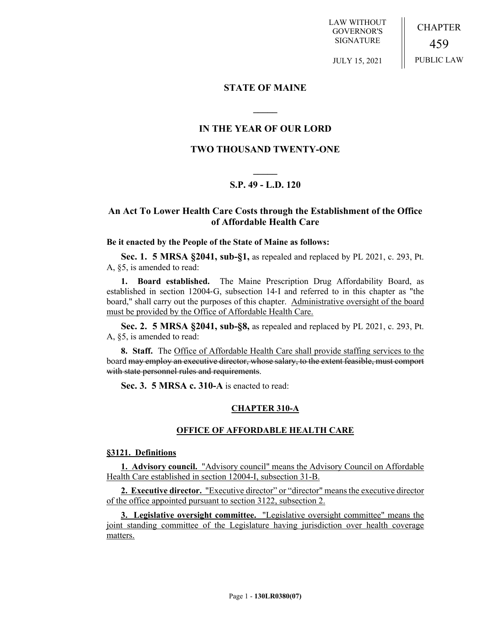LAW WITHOUT GOVERNOR'S SIGNATURE

JULY 15, 2021

CHAPTER 459 PUBLIC LAW

**STATE OF MAINE**

## **IN THE YEAR OF OUR LORD**

**\_\_\_\_\_**

### **TWO THOUSAND TWENTY-ONE**

# **\_\_\_\_\_ S.P. 49 - L.D. 120**

### **An Act To Lower Health Care Costs through the Establishment of the Office of Affordable Health Care**

#### **Be it enacted by the People of the State of Maine as follows:**

**Sec. 1. 5 MRSA §2041, sub-§1,** as repealed and replaced by PL 2021, c. 293, Pt. A, §5, is amended to read:

**1. Board established.** The Maine Prescription Drug Affordability Board, as established in section 12004‑G, subsection 14‑I and referred to in this chapter as "the board," shall carry out the purposes of this chapter. Administrative oversight of the board must be provided by the Office of Affordable Health Care.

**Sec. 2. 5 MRSA §2041, sub-§8,** as repealed and replaced by PL 2021, c. 293, Pt. A, §5, is amended to read:

**8. Staff.** The Office of Affordable Health Care shall provide staffing services to the board may employ an executive director, whose salary, to the extent feasible, must comport with state personnel rules and requirements.

**Sec. 3. 5 MRSA c. 310-A** is enacted to read:

### **CHAPTER 310-A**

#### **OFFICE OF AFFORDABLE HEALTH CARE**

#### **§3121. Definitions**

**1. Advisory council.** "Advisory council" means the Advisory Council on Affordable Health Care established in section 12004-I, subsection 31-B.

**2. Executive director.** "Executive director" or "director" means the executive director of the office appointed pursuant to section 3122, subsection 2.

**3. Legislative oversight committee.** "Legislative oversight committee" means the joint standing committee of the Legislature having jurisdiction over health coverage matters.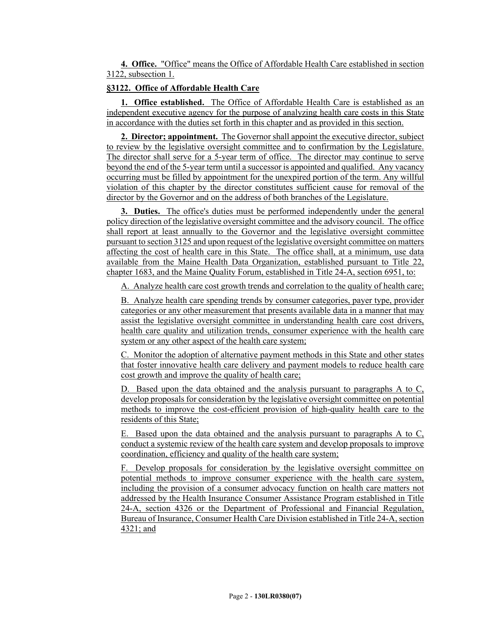**4. Office.** "Office" means the Office of Affordable Health Care established in section 3122, subsection 1.

### **§3122. Office of Affordable Health Care**

**1. Office established.** The Office of Affordable Health Care is established as an independent executive agency for the purpose of analyzing health care costs in this State in accordance with the duties set forth in this chapter and as provided in this section.

**2. Director; appointment.** The Governor shall appoint the executive director, subject to review by the legislative oversight committee and to confirmation by the Legislature. The director shall serve for a 5-year term of office. The director may continue to serve beyond the end of the 5-year term until a successor is appointed and qualified. Any vacancy occurring must be filled by appointment for the unexpired portion of the term. Any willful violation of this chapter by the director constitutes sufficient cause for removal of the director by the Governor and on the address of both branches of the Legislature.

**3. Duties.** The office's duties must be performed independently under the general policy direction of the legislative oversight committee and the advisory council. The office shall report at least annually to the Governor and the legislative oversight committee pursuant to section 3125 and upon request of the legislative oversight committee on matters affecting the cost of health care in this State. The office shall, at a minimum, use data available from the Maine Health Data Organization, established pursuant to Title 22, chapter 1683, and the Maine Quality Forum, established in Title 24-A, section 6951, to:

A. Analyze health care cost growth trends and correlation to the quality of health care;

B. Analyze health care spending trends by consumer categories, payer type, provider categories or any other measurement that presents available data in a manner that may assist the legislative oversight committee in understanding health care cost drivers, health care quality and utilization trends, consumer experience with the health care system or any other aspect of the health care system;

C. Monitor the adoption of alternative payment methods in this State and other states that foster innovative health care delivery and payment models to reduce health care cost growth and improve the quality of health care;

D. Based upon the data obtained and the analysis pursuant to paragraphs A to C, develop proposals for consideration by the legislative oversight committee on potential methods to improve the cost-efficient provision of high-quality health care to the residents of this State;

E. Based upon the data obtained and the analysis pursuant to paragraphs A to C, conduct a systemic review of the health care system and develop proposals to improve coordination, efficiency and quality of the health care system;

F. Develop proposals for consideration by the legislative oversight committee on potential methods to improve consumer experience with the health care system, including the provision of a consumer advocacy function on health care matters not addressed by the Health Insurance Consumer Assistance Program established in Title 24-A, section 4326 or the Department of Professional and Financial Regulation, Bureau of Insurance, Consumer Health Care Division established in Title 24-A, section 4321; and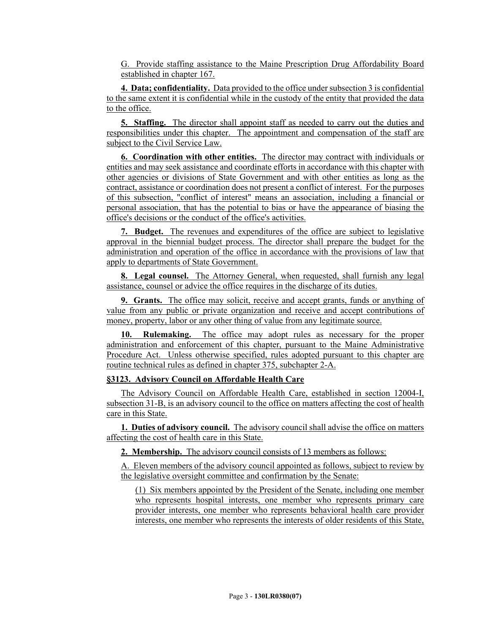G. Provide staffing assistance to the Maine Prescription Drug Affordability Board established in chapter 167.

**4. Data; confidentiality.** Data provided to the office under subsection 3 is confidential to the same extent it is confidential while in the custody of the entity that provided the data to the office.

**5. Staffing.** The director shall appoint staff as needed to carry out the duties and responsibilities under this chapter. The appointment and compensation of the staff are subject to the Civil Service Law.

**6. Coordination with other entities.** The director may contract with individuals or entities and may seek assistance and coordinate efforts in accordance with this chapter with other agencies or divisions of State Government and with other entities as long as the contract, assistance or coordination does not present a conflict of interest. For the purposes of this subsection, "conflict of interest" means an association, including a financial or personal association, that has the potential to bias or have the appearance of biasing the office's decisions or the conduct of the office's activities.

**7. Budget.** The revenues and expenditures of the office are subject to legislative approval in the biennial budget process. The director shall prepare the budget for the administration and operation of the office in accordance with the provisions of law that apply to departments of State Government.

**8. Legal counsel.** The Attorney General, when requested, shall furnish any legal assistance, counsel or advice the office requires in the discharge of its duties.

**9. Grants.** The office may solicit, receive and accept grants, funds or anything of value from any public or private organization and receive and accept contributions of money, property, labor or any other thing of value from any legitimate source.

**10. Rulemaking.** The office may adopt rules as necessary for the proper administration and enforcement of this chapter, pursuant to the Maine Administrative Procedure Act. Unless otherwise specified, rules adopted pursuant to this chapter are routine technical rules as defined in chapter 375, subchapter 2-A.

#### **§3123. Advisory Council on Affordable Health Care**

The Advisory Council on Affordable Health Care, established in section 12004-I, subsection 31-B, is an advisory council to the office on matters affecting the cost of health care in this State.

**1. Duties of advisory council.** The advisory council shall advise the office on matters affecting the cost of health care in this State.

**2. Membership.** The advisory council consists of 13 members as follows:

A. Eleven members of the advisory council appointed as follows, subject to review by the legislative oversight committee and confirmation by the Senate:

(1) Six members appointed by the President of the Senate, including one member who represents hospital interests, one member who represents primary care provider interests, one member who represents behavioral health care provider interests, one member who represents the interests of older residents of this State,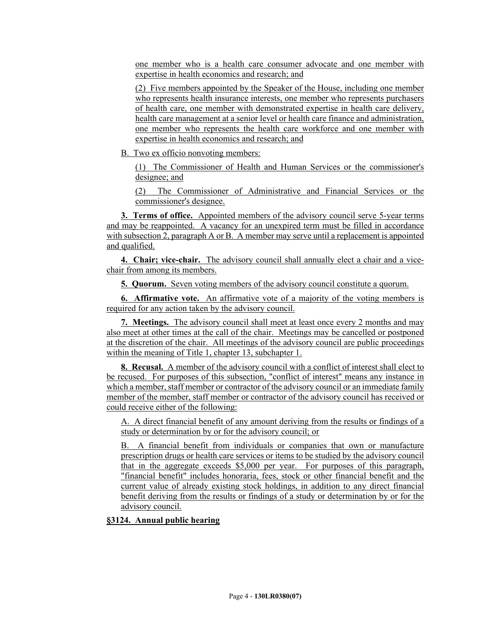one member who is a health care consumer advocate and one member with expertise in health economics and research; and

(2) Five members appointed by the Speaker of the House, including one member who represents health insurance interests, one member who represents purchasers of health care, one member with demonstrated expertise in health care delivery, health care management at a senior level or health care finance and administration, one member who represents the health care workforce and one member with expertise in health economics and research; and

B. Two ex officio nonvoting members:

(1) The Commissioner of Health and Human Services or the commissioner's designee; and

(2) The Commissioner of Administrative and Financial Services or the commissioner's designee.

**3. Terms of office.** Appointed members of the advisory council serve 5-year terms and may be reappointed. A vacancy for an unexpired term must be filled in accordance with subsection 2, paragraph A or B. A member may serve until a replacement is appointed and qualified.

**4. Chair; vice-chair.** The advisory council shall annually elect a chair and a vicechair from among its members.

**5. Quorum.** Seven voting members of the advisory council constitute a quorum.

**6. Affirmative vote.** An affirmative vote of a majority of the voting members is required for any action taken by the advisory council.

**7. Meetings.** The advisory council shall meet at least once every 2 months and may also meet at other times at the call of the chair. Meetings may be cancelled or postponed at the discretion of the chair. All meetings of the advisory council are public proceedings within the meaning of Title 1, chapter 13, subchapter 1.

**8. Recusal.** A member of the advisory council with a conflict of interest shall elect to be recused. For purposes of this subsection, "conflict of interest" means any instance in which a member, staff member or contractor of the advisory council or an immediate family member of the member, staff member or contractor of the advisory council has received or could receive either of the following:

A. A direct financial benefit of any amount deriving from the results or findings of a study or determination by or for the advisory council; or

B. A financial benefit from individuals or companies that own or manufacture prescription drugs or health care services or items to be studied by the advisory council that in the aggregate exceeds \$5,000 per year. For purposes of this paragraph, "financial benefit" includes honoraria, fees, stock or other financial benefit and the current value of already existing stock holdings, in addition to any direct financial benefit deriving from the results or findings of a study or determination by or for the advisory council.

**§3124. Annual public hearing**